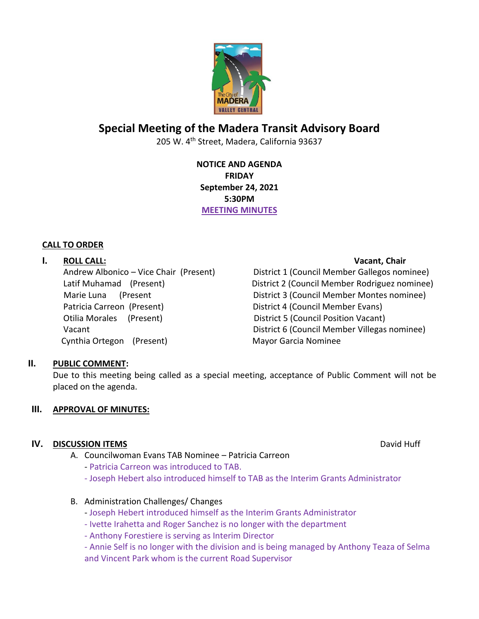

# **Special Meeting of the Madera Transit Advisory Board**

205 W. 4th Street, Madera, California 93637

**NOTICE AND AGENDA FRIDAY September 24, 2021 5:30PM MEETING MINUTES**

# **CALL TO ORDER**

# **I. ROLL CALL: Vacant, Chair**

Patricia Carreon (Present) District 4 (Council Member Evans) Otilia Morales (Present) District 5 (Council Position Vacant) Cynthia Ortegon (Present) Mayor Garcia Nominee

Andrew Albonico – Vice Chair (Present) District 1 (Council Member Gallegos nominee) Latif Muhamad (Present) District 2 (Council Member Rodriguez nominee) Marie Luna (Present District 3 (Council Member Montes nominee) Vacant District 6 (Council Member Villegas nominee)

# **II. PUBLIC COMMENT:**

Due to this meeting being called as a special meeting, acceptance of Public Comment will not be placed on the agenda.

# **III. APPROVAL OF MINUTES:**

# **IV. DISCUSSION ITEMS** David Huff

- A. Councilwoman Evans TAB Nominee Patricia Carreon
	- Patricia Carreon was introduced to TAB.
	- Joseph Hebert also introduced himself to TAB as the Interim Grants Administrator

### B. Administration Challenges/ Changes

- Joseph Hebert introduced himself as the Interim Grants Administrator
- Ivette Irahetta and Roger Sanchez is no longer with the department
- Anthony Forestiere is serving as Interim Director

- Annie Self is no longer with the division and is being managed by Anthony Teaza of Selma and Vincent Park whom is the current Road Supervisor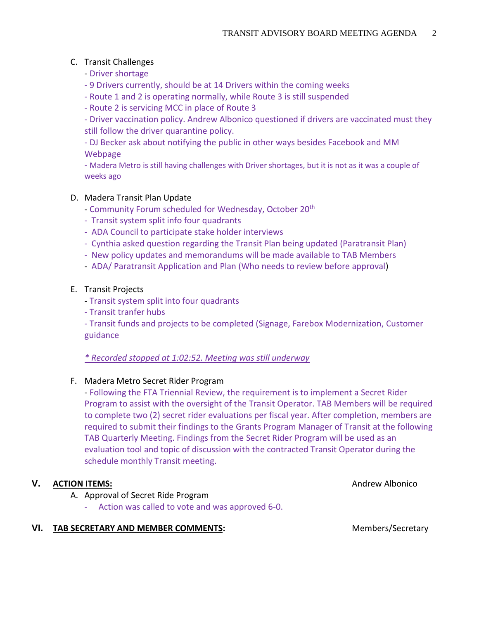# C. Transit Challenges

- Driver shortage
- 9 Drivers currently, should be at 14 Drivers within the coming weeks
- Route 1 and 2 is operating normally, while Route 3 is still suspended
- Route 2 is servicing MCC in place of Route 3

- Driver vaccination policy. Andrew Albonico questioned if drivers are vaccinated must they still follow the driver quarantine policy.

- DJ Becker ask about notifying the public in other ways besides Facebook and MM Webpage

- Madera Metro is still having challenges with Driver shortages, but it is not as it was a couple of weeks ago

## D. Madera Transit Plan Update

- Community Forum scheduled for Wednesday, October 20<sup>th</sup>
- Transit system split info four quadrants
- ADA Council to participate stake holder interviews
- Cynthia asked question regarding the Transit Plan being updated (Paratransit Plan)
- New policy updates and memorandums will be made available to TAB Members
- ADA/ Paratransit Application and Plan (Who needs to review before approval)

### E. Transit Projects

- Transit system split into four quadrants
- Transit tranfer hubs

- Transit funds and projects to be completed (Signage, Farebox Modernization, Customer guidance

### *\* Recorded stopped at 1:02:52. Meeting was still underway*

### F. Madera Metro Secret Rider Program

- Following the FTA Triennial Review, the requirement is to implement a Secret Rider Program to assist with the oversight of the Transit Operator. TAB Members will be required to complete two (2) secret rider evaluations per fiscal year. After completion, members are required to submit their findings to the Grants Program Manager of Transit at the following TAB Quarterly Meeting. Findings from the Secret Rider Program will be used as an evaluation tool and topic of discussion with the contracted Transit Operator during the schedule monthly Transit meeting.

### **V. ACTION ITEMS:** Andrew Albonico **V. Andrew Albonico** Andrew Albonico

- A. Approval of Secret Ride Program
	- Action was called to vote and was approved 6-0.

### VI. TAB SECRETARY AND MEMBER COMMENTS: Members/Secretary